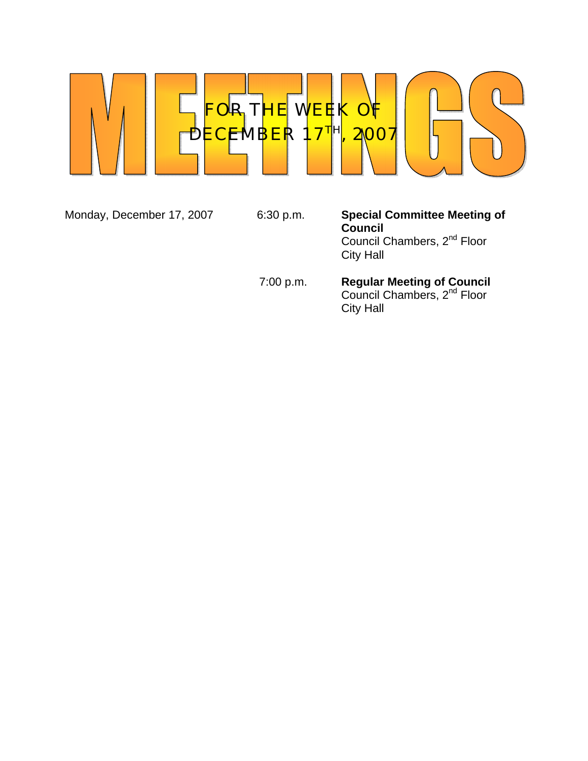

Monday, December 17, 2007 6:30 p.m. **Special Committee Meeting of Council**  Council Chambers, 2<sup>nd</sup> Floor City Hall

 7:00 p.m. **Regular Meeting of Council**  *Council Chambers, 2<sup>nd</sup> Floor* City Hall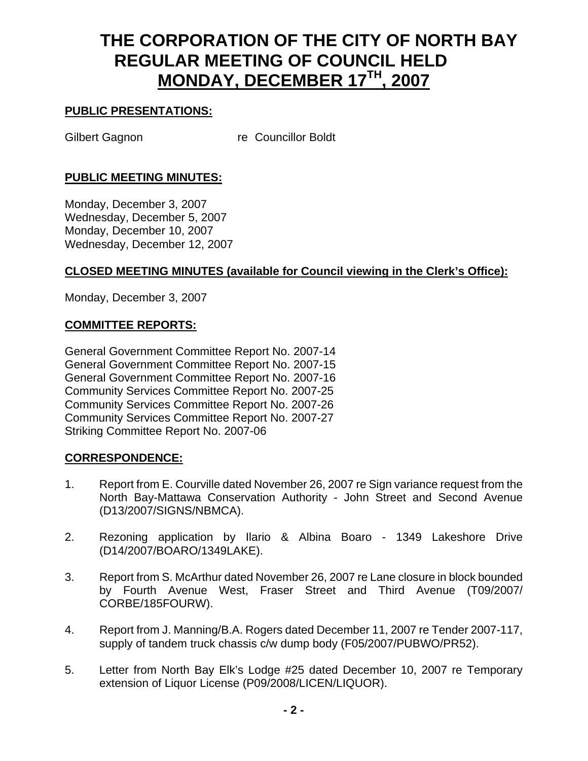# **THE CORPORATION OF THE CITY OF NORTH BAY REGULAR MEETING OF COUNCIL HELD MONDAY, DECEMBER 17TH, 2007**

# **PUBLIC PRESENTATIONS:**

Gilbert Gagnon re Councillor Boldt

### **PUBLIC MEETING MINUTES:**

Monday, December 3, 2007 Wednesday, December 5, 2007 Monday, December 10, 2007 Wednesday, December 12, 2007

### **CLOSED MEETING MINUTES (available for Council viewing in the Clerk's Office):**

Monday, December 3, 2007

#### **COMMITTEE REPORTS:**

General Government Committee Report No. 2007-14 General Government Committee Report No. 2007-15 General Government Committee Report No. 2007-16 Community Services Committee Report No. 2007-25 Community Services Committee Report No. 2007-26 Community Services Committee Report No. 2007-27 Striking Committee Report No. 2007-06

#### **CORRESPONDENCE:**

- 1. Report from E. Courville dated November 26, 2007 re Sign variance request from the North Bay-Mattawa Conservation Authority - John Street and Second Avenue (D13/2007/SIGNS/NBMCA).
- 2. Rezoning application by Ilario & Albina Boaro 1349 Lakeshore Drive (D14/2007/BOARO/1349LAKE).
- 3. Report from S. McArthur dated November 26, 2007 re Lane closure in block bounded by Fourth Avenue West, Fraser Street and Third Avenue (T09/2007/ CORBE/185FOURW).
- 4. Report from J. Manning/B.A. Rogers dated December 11, 2007 re Tender 2007-117, supply of tandem truck chassis c/w dump body (F05/2007/PUBWO/PR52).
- 5. Letter from North Bay Elk's Lodge #25 dated December 10, 2007 re Temporary extension of Liquor License (P09/2008/LICEN/LIQUOR).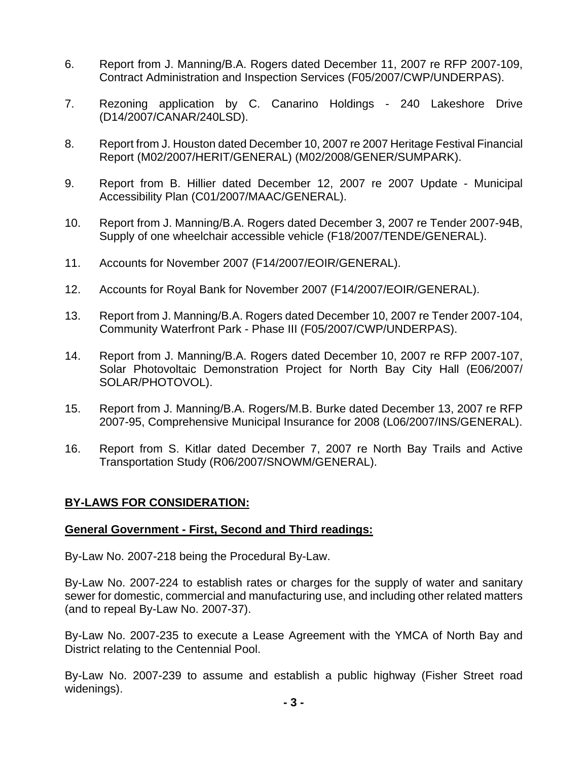- 6. Report from J. Manning/B.A. Rogers dated December 11, 2007 re RFP 2007-109, Contract Administration and Inspection Services (F05/2007/CWP/UNDERPAS).
- 7. Rezoning application by C. Canarino Holdings 240 Lakeshore Drive (D14/2007/CANAR/240LSD).
- 8. Report from J. Houston dated December 10, 2007 re 2007 Heritage Festival Financial Report (M02/2007/HERIT/GENERAL) (M02/2008/GENER/SUMPARK).
- 9. Report from B. Hillier dated December 12, 2007 re 2007 Update Municipal Accessibility Plan (C01/2007/MAAC/GENERAL).
- 10. Report from J. Manning/B.A. Rogers dated December 3, 2007 re Tender 2007-94B, Supply of one wheelchair accessible vehicle (F18/2007/TENDE/GENERAL).
- 11. Accounts for November 2007 (F14/2007/EOIR/GENERAL).
- 12. Accounts for Royal Bank for November 2007 (F14/2007/EOIR/GENERAL).
- 13. Report from J. Manning/B.A. Rogers dated December 10, 2007 re Tender 2007-104, Community Waterfront Park - Phase III (F05/2007/CWP/UNDERPAS).
- 14. Report from J. Manning/B.A. Rogers dated December 10, 2007 re RFP 2007-107, Solar Photovoltaic Demonstration Project for North Bay City Hall (E06/2007/ SOLAR/PHOTOVOL).
- 15. Report from J. Manning/B.A. Rogers/M.B. Burke dated December 13, 2007 re RFP 2007-95, Comprehensive Municipal Insurance for 2008 (L06/2007/INS/GENERAL).
- 16. Report from S. Kitlar dated December 7, 2007 re North Bay Trails and Active Transportation Study (R06/2007/SNOWM/GENERAL).

# **BY-LAWS FOR CONSIDERATION:**

#### **General Government - First, Second and Third readings:**

By-Law No. 2007-218 being the Procedural By-Law.

By-Law No. 2007-224 to establish rates or charges for the supply of water and sanitary sewer for domestic, commercial and manufacturing use, and including other related matters (and to repeal By-Law No. 2007-37).

By-Law No. 2007-235 to execute a Lease Agreement with the YMCA of North Bay and District relating to the Centennial Pool.

By-Law No. 2007-239 to assume and establish a public highway (Fisher Street road widenings).